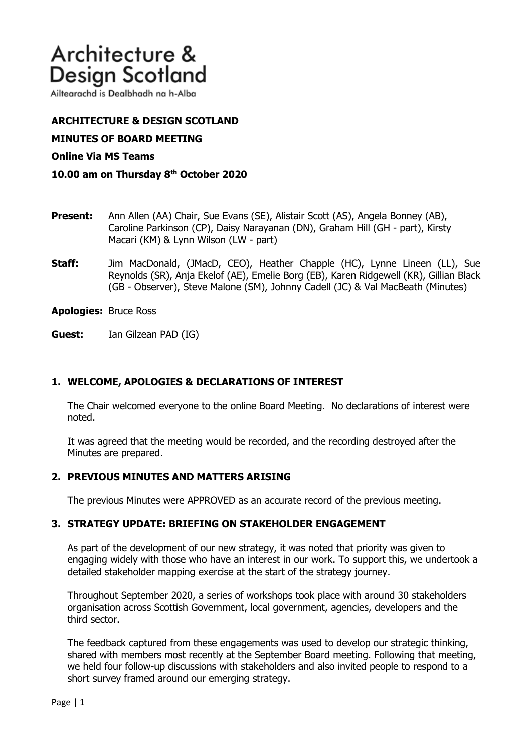# Architecture & **Design Scotland**

Ailtearachd is Dealbhadh na h-Alba

# **ARCHITECTURE & DESIGN SCOTLAND**

**MINUTES OF BOARD MEETING** 

#### **Online Via MS Teams**

### **10.00 am on Thursday 8th October 2020**

- **Present:** Ann Allen (AA) Chair, Sue Evans (SE), Alistair Scott (AS), Angela Bonney (AB), Caroline Parkinson (CP), Daisy Narayanan (DN), Graham Hill (GH - part), Kirsty Macari (KM) & Lynn Wilson (LW - part)
- **Staff:** Jim MacDonald, (JMacD, CEO), Heather Chapple (HC), Lynne Lineen (LL), Sue Reynolds (SR), Anja Ekelof (AE), Emelie Borg (EB), Karen Ridgewell (KR), Gillian Black (GB - Observer), Steve Malone (SM), Johnny Cadell (JC) & Val MacBeath (Minutes)

**Apologies:** Bruce Ross

**Guest:** Ian Gilzean PAD (IG)

## **1. WELCOME, APOLOGIES & DECLARATIONS OF INTEREST**

The Chair welcomed everyone to the online Board Meeting. No declarations of interest were noted.

It was agreed that the meeting would be recorded, and the recording destroyed after the Minutes are prepared.

## **2. PREVIOUS MINUTES AND MATTERS ARISING**

The previous Minutes were APPROVED as an accurate record of the previous meeting.

## **3. STRATEGY UPDATE: BRIEFING ON STAKEHOLDER ENGAGEMENT**

As part of the development of our new strategy, it was noted that priority was given to engaging widely with those who have an interest in our work. To support this, we undertook a detailed stakeholder mapping exercise at the start of the strategy journey.

Throughout September 2020, a series of workshops took place with around 30 stakeholders organisation across Scottish Government, local government, agencies, developers and the third sector.

The feedback captured from these engagements was used to develop our strategic thinking, shared with members most recently at the September Board meeting. Following that meeting, we held four follow-up discussions with stakeholders and also invited people to respond to a short survey framed around our emerging strategy.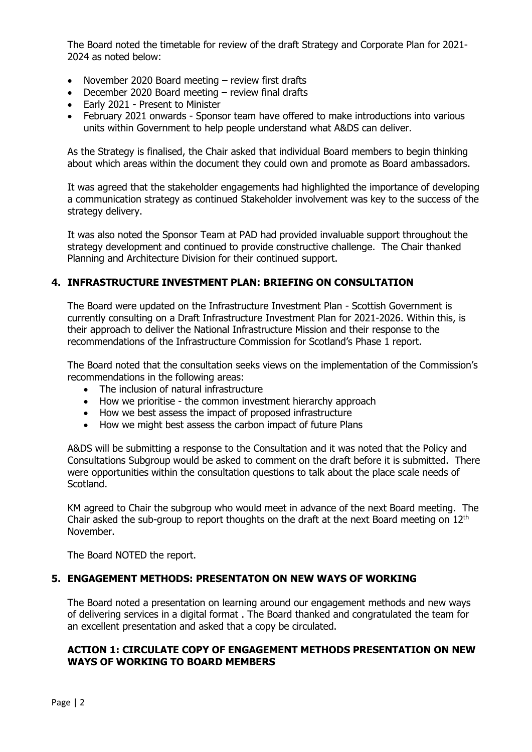The Board noted the timetable for review of the draft Strategy and Corporate Plan for 2021- 2024 as noted below:

- November 2020 Board meeting review first drafts
- December 2020 Board meeting review final drafts<br>• Early 2021 Present to Minister
- Early 2021 Present to Minister
- February 2021 onwards Sponsor team have offered to make introductions into various units within Government to help people understand what A&DS can deliver.

As the Strategy is finalised, the Chair asked that individual Board members to begin thinking about which areas within the document they could own and promote as Board ambassadors.

It was agreed that the stakeholder engagements had highlighted the importance of developing a communication strategy as continued Stakeholder involvement was key to the success of the strategy delivery.

It was also noted the Sponsor Team at PAD had provided invaluable support throughout the strategy development and continued to provide constructive challenge. The Chair thanked Planning and Architecture Division for their continued support.

# **4. INFRASTRUCTURE INVESTMENT PLAN: BRIEFING ON CONSULTATION**

The Board were updated on the Infrastructure Investment Plan - Scottish Government is currently consulting on a Draft Infrastructure Investment Plan for 2021-2026. Within this, is their approach to deliver the National Infrastructure Mission and their response to the recommendations of the Infrastructure Commission for Scotland's Phase 1 report.

The Board noted that the consultation seeks views on the implementation of the Commission's recommendations in the following areas:

- The inclusion of natural infrastructure
- How we prioritise the common investment hierarchy approach
- How we best assess the impact of proposed infrastructure
- How we might best assess the carbon impact of future Plans

A&DS will be submitting a response to the Consultation and it was noted that the Policy and Consultations Subgroup would be asked to comment on the draft before it is submitted. There were opportunities within the consultation questions to talk about the place scale needs of Scotland.

KM agreed to Chair the subgroup who would meet in advance of the next Board meeting. The Chair asked the sub-group to report thoughts on the draft at the next Board meeting on  $12<sup>th</sup>$ November.

The Board NOTED the report.

## **5. ENGAGEMENT METHODS: PRESENTATON ON NEW WAYS OF WORKING**

The Board noted a presentation on learning around our engagement methods and new ways of delivering services in a digital format . The Board thanked and congratulated the team for an excellent presentation and asked that a copy be circulated.

## **ACTION 1: CIRCULATE COPY OF ENGAGEMENT METHODS PRESENTATION ON NEW WAYS OF WORKING TO BOARD MEMBERS**